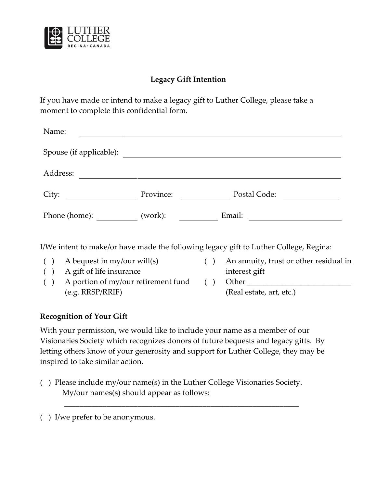

## **Legacy Gift Intention**

If you have made or intend to make a legacy gift to Luther College, please take a moment to complete this confidential form.

| Name:                   |           |              |
|-------------------------|-----------|--------------|
| Spouse (if applicable): |           |              |
| Address:                |           |              |
| City:                   | Province: | Postal Code: |
| Phone (home):           | (work):   | Email:       |

I/We intent to make/or have made the following legacy gift to Luther College, Regina:

- 
- ( ) A gift of life insurance interest gift
- ( ) A portion of my/our retirement fund (e.g. RRSP/RRIF)
- ( ) A bequest in my/our will(s) ( ) An annuity, trust or other residual in

 $( )$  Other (Real estate, art, etc.)

## **Recognition of Your Gift**

With your permission, we would like to include your name as a member of our Visionaries Society which recognizes donors of future bequests and legacy gifts. By letting others know of your generosity and support for Luther College, they may be inspired to take similar action.

( ) Please include my/our name(s) in the Luther College Visionaries Society. My/our names(s) should appear as follows:

\_\_\_\_\_\_\_\_\_\_\_\_\_\_\_\_\_\_\_\_\_\_\_\_\_\_\_\_\_\_\_\_\_\_\_\_\_\_\_\_\_\_\_\_\_\_\_\_\_\_\_\_\_\_\_\_\_\_\_\_\_

( ) I/we prefer to be anonymous.